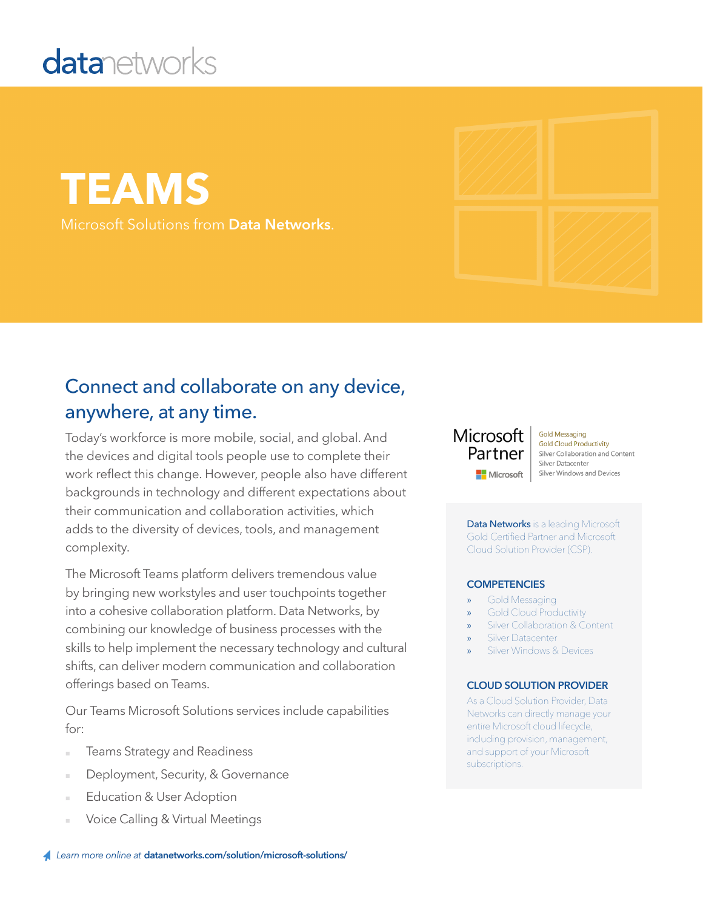# **datanetworks**

**TEAMS** Microsoft Solutions from **Data Networks**.

### Connect and collaborate on any device, anywhere, at any time.

Today's workforce is more mobile, social, and global. And the devices and digital tools people use to complete their work reflect this change. However, people also have different backgrounds in technology and different expectations about their communication and collaboration activities, which adds to the diversity of devices, tools, and management complexity.

The Microsoft Teams platform delivers tremendous value by bringing new workstyles and user touchpoints together into a cohesive collaboration platform. Data Networks, by combining our knowledge of business processes with the skills to help implement the necessary technology and cultural shifts, can deliver modern communication and collaboration offerings based on Teams.

Our Teams Microsoft Solutions services include capabilities for:

- **Teams Strategy and Readiness**
- Deployment, Security, & Governance
- Education & User Adoption
- Voice Calling & Virtual Meetings

#### Microsoft Partner Microsoft

**Gold Messaging Gold Cloud Productivity** Silver Collaboration and Content Silver Datacenter Silver Windows and Devices

Data Networks is a leading Microsoft Gold Certified Partner and Microsoft Cloud Solution Provider (CSP).

#### **COMPETENCIES**

- » Gold Messaging
- » Gold Cloud Productivity
- Silver Collaboration & Content
- **Silver Datacenter**
- Silver Windows & Devices

#### **CLOUD SOLUTION PROVIDER**

As a Cloud Solution Provider, Data Networks can directly manage your entire Microsoft cloud lifecycle, including provision, management, and support of your Microsoft subscriptions.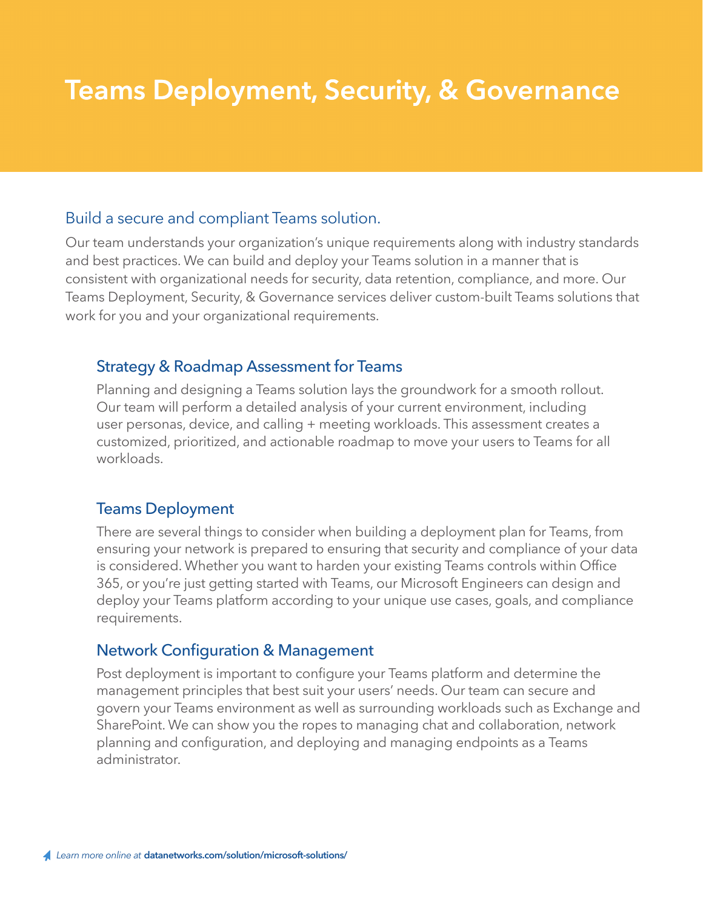### **Teams Deployment, Security, & Governance**

#### Build a secure and compliant Teams solution.

Our team understands your organization's unique requirements along with industry standards and best practices. We can build and deploy your Teams solution in a manner that is consistent with organizational needs for security, data retention, compliance, and more. Our Teams Deployment, Security, & Governance services deliver custom-built Teams solutions that work for you and your organizational requirements.

#### Strategy & Roadmap Assessment for Teams

Planning and designing a Teams solution lays the groundwork for a smooth rollout. Our team will perform a detailed analysis of your current environment, including user personas, device, and calling + meeting workloads. This assessment creates a customized, prioritized, and actionable roadmap to move your users to Teams for all workloads.

#### Teams Deployment

There are several things to consider when building a deployment plan for Teams, from ensuring your network is prepared to ensuring that security and compliance of your data is considered. Whether you want to harden your existing Teams controls within Office 365, or you're just getting started with Teams, our Microsoft Engineers can design and deploy your Teams platform according to your unique use cases, goals, and compliance requirements.

#### Network Configuration & Management

Post deployment is important to configure your Teams platform and determine the management principles that best suit your users' needs. Our team can secure and govern your Teams environment as well as surrounding workloads such as Exchange and SharePoint. We can show you the ropes to managing chat and collaboration, network planning and configuration, and deploying and managing endpoints as a Teams administrator.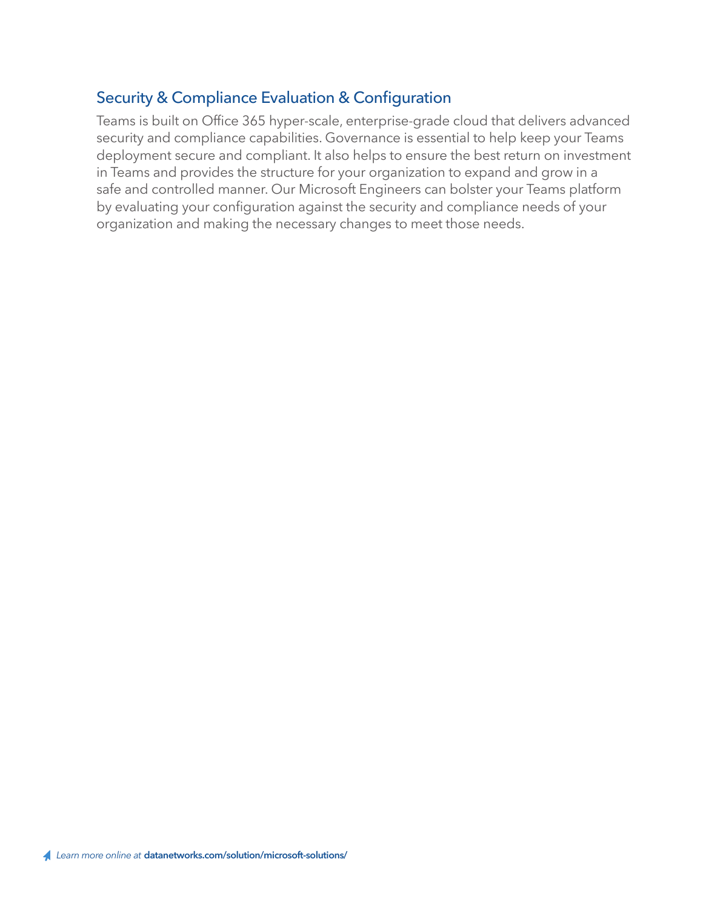#### Security & Compliance Evaluation & Configuration

Teams is built on Office 365 hyper-scale, enterprise-grade cloud that delivers advanced security and compliance capabilities. Governance is essential to help keep your Teams deployment secure and compliant. It also helps to ensure the best return on investment in Teams and provides the structure for your organization to expand and grow in a safe and controlled manner. Our Microsoft Engineers can bolster your Teams platform by evaluating your configuration against the security and compliance needs of your organization and making the necessary changes to meet those needs.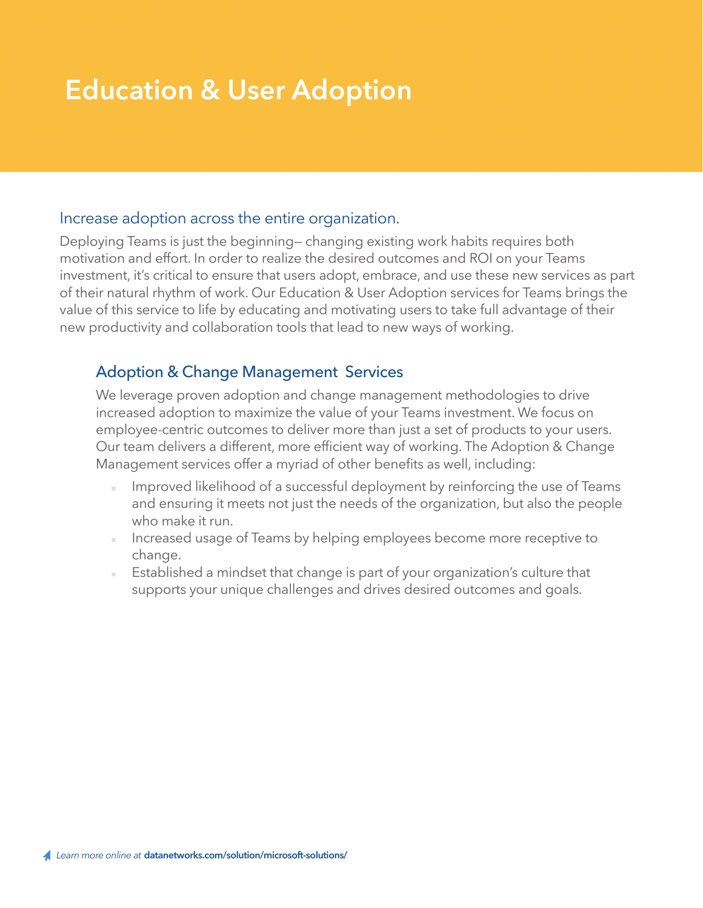### **Education & User Adoption**

#### Increase adoption across the entire organization.

Deploying Teams is just the beginning— changing existing work habits requires both motivation and effort. In order to realize the desired outcomes and ROI on your Teams investment, it's critical to ensure that users adopt, embrace, and use these new services as part of their natural rhythm of work. Our Education & User Adoption services for Teams brings the value of this service to life by educating and motivating users to take full advantage of their new productivity and collaboration tools that lead to new ways of working.

#### Adoption & Change Management Services

We leverage proven adoption and change management methodologies to drive increased adoption to maximize the value of your Teams investment. We focus on employee-centric outcomes to deliver more than just a set of products to your users. Our team delivers a different, more efficient way of working. The Adoption & Change Management services offer a myriad of other benefits as well, including:

- Improved likelihood of a successful deployment by reinforcing the use of Teams and ensuring it meets not just the needs of the organization, but also the people who make it run.
- Increased usage of Teams by helping employees become more receptive to change.
- Established a mindset that change is part of your organization's culture that supports your unique challenges and drives desired outcomes and goals.